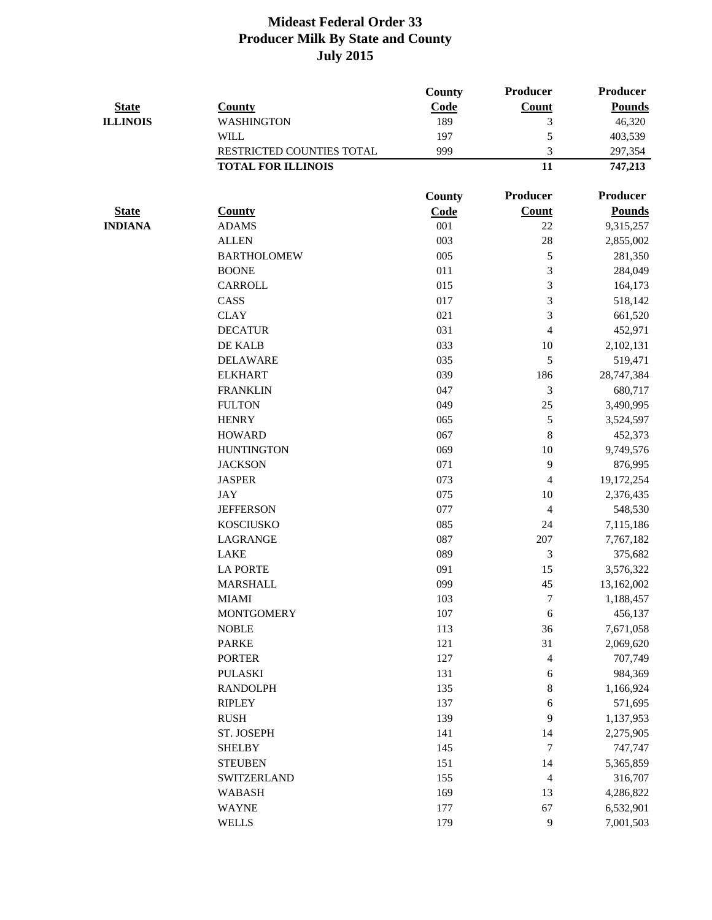|                 |                           | <b>County</b> | Producer                 | <b>Producer</b> |
|-----------------|---------------------------|---------------|--------------------------|-----------------|
| <b>State</b>    | <b>County</b>             | Code          | <b>Count</b>             | <b>Pounds</b>   |
| <b>ILLINOIS</b> | <b>WASHINGTON</b>         | 189           | 3                        | 46,320          |
|                 | <b>WILL</b>               | 197           | 5                        | 403,539         |
|                 | RESTRICTED COUNTIES TOTAL | 999           | 3                        | 297,354         |
|                 | <b>TOTAL FOR ILLINOIS</b> |               | 11                       | 747,213         |
|                 |                           | County        | Producer                 | <b>Producer</b> |
| <b>State</b>    | <b>County</b>             | <b>Code</b>   | <b>Count</b>             | <b>Pounds</b>   |
| <b>INDIANA</b>  | <b>ADAMS</b>              | 001           | 22                       | 9,315,257       |
|                 | <b>ALLEN</b>              | 003           | 28                       | 2,855,002       |
|                 | <b>BARTHOLOMEW</b>        | 005           | $\mathfrak s$            | 281,350         |
|                 | <b>BOONE</b>              | 011           | 3                        | 284,049         |
|                 | <b>CARROLL</b>            | 015           | 3                        | 164,173         |
|                 | CASS                      | 017           | 3                        | 518,142         |
|                 | <b>CLAY</b>               | 021           | $\overline{3}$           | 661,520         |
|                 | <b>DECATUR</b>            | 031           | $\overline{4}$           | 452,971         |
|                 | DE KALB                   | 033           | 10                       | 2,102,131       |
|                 | <b>DELAWARE</b>           | 035           | 5                        | 519,471         |
|                 | <b>ELKHART</b>            | 039           | 186                      | 28,747,384      |
|                 | <b>FRANKLIN</b>           | 047           | 3                        | 680,717         |
|                 | <b>FULTON</b>             | 049           | 25                       | 3,490,995       |
|                 | <b>HENRY</b>              | 065           | 5                        | 3,524,597       |
|                 | <b>HOWARD</b>             | 067           | 8                        | 452,373         |
|                 | <b>HUNTINGTON</b>         | 069           | 10                       | 9,749,576       |
|                 | <b>JACKSON</b>            | 071           | 9                        | 876,995         |
|                 | <b>JASPER</b>             | 073           | $\overline{\mathcal{A}}$ | 19,172,254      |
|                 | <b>JAY</b>                | 075           | 10                       | 2,376,435       |
|                 | <b>JEFFERSON</b>          | 077           | $\overline{4}$           | 548,530         |
|                 | <b>KOSCIUSKO</b>          | 085           | 24                       | 7,115,186       |
|                 | <b>LAGRANGE</b>           | 087           | 207                      | 7,767,182       |
|                 | <b>LAKE</b>               | 089           | 3                        | 375,682         |
|                 | <b>LA PORTE</b>           | 091           | 15                       | 3,576,322       |
|                 | <b>MARSHALL</b>           | 099           | 45                       | 13,162,002      |
|                 | <b>MIAMI</b>              | 103           | $\boldsymbol{7}$         | 1,188,457       |
|                 | <b>MONTGOMERY</b>         | 107           | 6                        | 456,137         |
|                 | <b>NOBLE</b>              | 113           | 36                       | 7,671,058       |
|                 | <b>PARKE</b>              | 121           | 31                       | 2,069,620       |
|                 | <b>PORTER</b>             | 127           | $\overline{\mathcal{A}}$ | 707,749         |
|                 | <b>PULASKI</b>            | 131           | $\sqrt{6}$               | 984,369         |
|                 | <b>RANDOLPH</b>           | 135           | $\,8\,$                  | 1,166,924       |
|                 | <b>RIPLEY</b>             | 137           | 6                        | 571,695         |
|                 | <b>RUSH</b>               | 139           | 9                        | 1,137,953       |
|                 | ST. JOSEPH                | 141           | 14                       | 2,275,905       |
|                 | <b>SHELBY</b>             | 145           | $\tau$                   | 747,747         |
|                 | <b>STEUBEN</b>            | 151           | 14                       | 5,365,859       |
|                 | <b>SWITZERLAND</b>        | 155           | $\overline{4}$           | 316,707         |
|                 | <b>WABASH</b>             | 169           | 13                       | 4,286,822       |
|                 | <b>WAYNE</b>              | 177           | 67                       | 6,532,901       |
|                 | <b>WELLS</b>              | 179           | 9                        | 7,001,503       |
|                 |                           |               |                          |                 |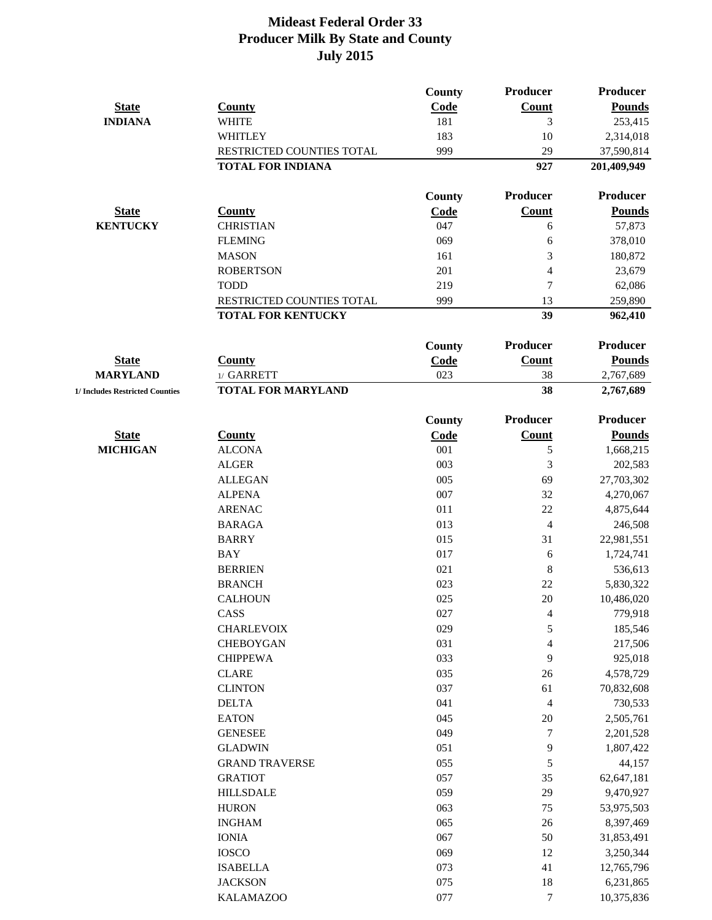|                                 |                           | County | Producer                 | <b>Producer</b> |
|---------------------------------|---------------------------|--------|--------------------------|-----------------|
| <b>State</b>                    | <b>County</b>             | Code   | <b>Count</b>             | <b>Pounds</b>   |
| <b>INDIANA</b>                  | <b>WHITE</b>              | 181    | 3                        | 253,415         |
|                                 | <b>WHITLEY</b>            | 183    | 10                       | 2,314,018       |
|                                 | RESTRICTED COUNTIES TOTAL | 999    | 29                       | 37,590,814      |
|                                 | <b>TOTAL FOR INDIANA</b>  |        | 927                      | 201,409,949     |
|                                 |                           | County | Producer                 | <b>Producer</b> |
| <b>State</b>                    | <b>County</b>             | Code   | <b>Count</b>             | <b>Pounds</b>   |
| <b>KENTUCKY</b>                 | <b>CHRISTIAN</b>          | 047    | 6                        | 57,873          |
|                                 | <b>FLEMING</b>            | 069    | 6                        | 378,010         |
|                                 | <b>MASON</b>              | 161    | 3                        | 180,872         |
|                                 | <b>ROBERTSON</b>          | 201    | 4                        | 23,679          |
|                                 | <b>TODD</b>               | 219    | $\overline{7}$           | 62,086          |
|                                 | RESTRICTED COUNTIES TOTAL | 999    | 13                       | 259,890         |
|                                 | <b>TOTAL FOR KENTUCKY</b> |        | 39                       | 962,410         |
|                                 |                           | County | Producer                 | <b>Producer</b> |
| <b>State</b>                    | <b>County</b>             | Code   | <b>Count</b>             | <b>Pounds</b>   |
| <b>MARYLAND</b>                 | 1/ GARRETT                | 023    | 38                       | 2,767,689       |
| 1/ Includes Restricted Counties | <b>TOTAL FOR MARYLAND</b> |        | 38                       | 2,767,689       |
|                                 |                           | County | Producer                 | <b>Producer</b> |
| <b>State</b>                    | <b>County</b>             | Code   | Count                    | <b>Pounds</b>   |
| <b>MICHIGAN</b>                 | <b>ALCONA</b>             | 001    | 5                        | 1,668,215       |
|                                 | <b>ALGER</b>              | 003    | 3                        | 202,583         |
|                                 | <b>ALLEGAN</b>            | 005    | 69                       | 27,703,302      |
|                                 | <b>ALPENA</b>             | 007    | 32                       | 4,270,067       |
|                                 | <b>ARENAC</b>             | 011    | 22                       | 4,875,644       |
|                                 | <b>BARAGA</b>             | 013    | $\overline{4}$           | 246,508         |
|                                 | <b>BARRY</b>              | 015    | 31                       | 22,981,551      |
|                                 | <b>BAY</b>                | 017    | 6                        | 1,724,741       |
|                                 | <b>BERRIEN</b>            | 021    | $\,8\,$                  | 536,613         |
|                                 | <b>BRANCH</b>             | 023    | 22                       | 5,830,322       |
|                                 | <b>CALHOUN</b>            | 025    | 20                       | 10,486,020      |
|                                 | CASS                      | 027    | $\overline{\mathcal{A}}$ | 779,918         |
|                                 | <b>CHARLEVOIX</b>         | 029    | 5                        | 185,546         |
|                                 | <b>CHEBOYGAN</b>          | 031    | 4                        | 217,506         |
|                                 | <b>CHIPPEWA</b>           | 033    | 9                        | 925,018         |
|                                 | <b>CLARE</b>              | 035    | 26                       | 4,578,729       |
|                                 | <b>CLINTON</b>            | 037    | 61                       | 70,832,608      |
|                                 | <b>DELTA</b>              | 041    | $\overline{\mathcal{L}}$ | 730,533         |
|                                 | <b>EATON</b>              | 045    | 20                       | 2,505,761       |
|                                 | <b>GENESEE</b>            | 049    | $\tau$                   | 2,201,528       |
|                                 | <b>GLADWIN</b>            | 051    | 9                        | 1,807,422       |
|                                 | <b>GRAND TRAVERSE</b>     | 055    | $\mathfrak s$            | 44,157          |
|                                 | <b>GRATIOT</b>            | 057    | 35                       | 62,647,181      |
|                                 | <b>HILLSDALE</b>          | 059    | 29                       | 9,470,927       |
|                                 | <b>HURON</b>              | 063    | 75                       | 53,975,503      |
|                                 | <b>INGHAM</b>             | 065    | 26                       | 8,397,469       |
|                                 | <b>IONIA</b>              | 067    | 50                       | 31,853,491      |
|                                 | <b>IOSCO</b>              | 069    | 12                       | 3,250,344       |
|                                 | <b>ISABELLA</b>           | 073    | 41                       | 12,765,796      |
|                                 | <b>JACKSON</b>            | 075    | 18                       | 6,231,865       |
|                                 | <b>KALAMAZOO</b>          | 077    | $\boldsymbol{7}$         | 10,375,836      |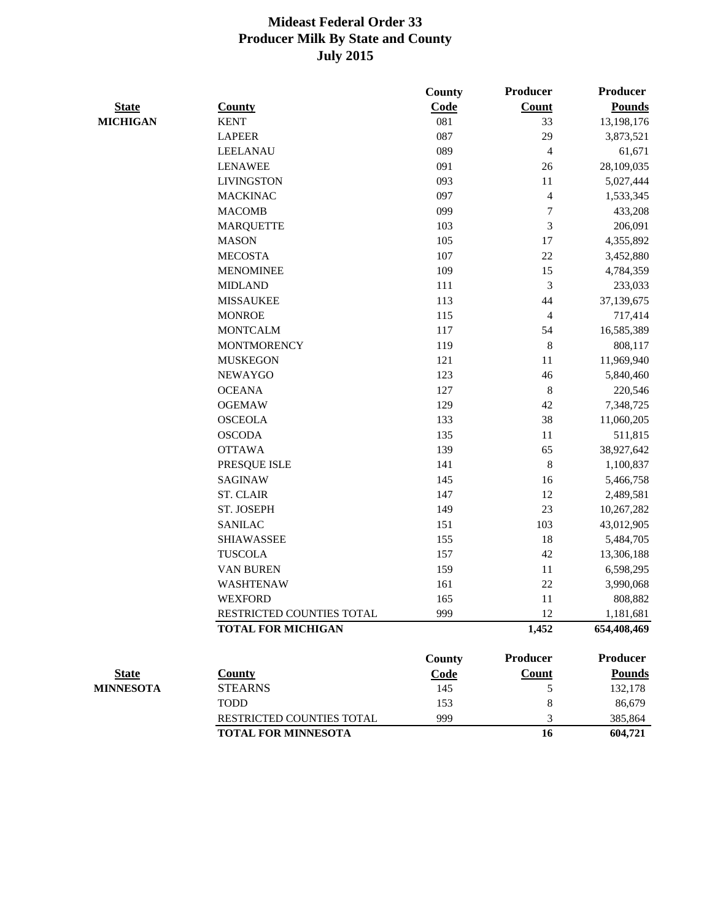|                  |                            | County | Producer                 | <b>Producer</b> |
|------------------|----------------------------|--------|--------------------------|-----------------|
| <b>State</b>     | <b>County</b>              | Code   | <b>Count</b>             | <b>Pounds</b>   |
| <b>MICHIGAN</b>  | <b>KENT</b>                | 081    | 33                       | 13,198,176      |
|                  | <b>LAPEER</b>              | 087    | 29                       | 3,873,521       |
|                  | <b>LEELANAU</b>            | 089    | $\overline{4}$           | 61,671          |
|                  | <b>LENAWEE</b>             | 091    | 26                       | 28,109,035      |
|                  | <b>LIVINGSTON</b>          | 093    | 11                       | 5,027,444       |
|                  | <b>MACKINAC</b>            | 097    | $\overline{\mathcal{L}}$ | 1,533,345       |
|                  | <b>MACOMB</b>              | 099    | 7                        | 433,208         |
|                  | <b>MARQUETTE</b>           | 103    | 3                        | 206,091         |
|                  | <b>MASON</b>               | 105    | 17                       | 4,355,892       |
|                  | <b>MECOSTA</b>             | 107    | 22                       | 3,452,880       |
|                  | <b>MENOMINEE</b>           | 109    | 15                       | 4,784,359       |
|                  | <b>MIDLAND</b>             | 111    | 3                        | 233,033         |
|                  | <b>MISSAUKEE</b>           | 113    | 44                       | 37,139,675      |
|                  | <b>MONROE</b>              | 115    | $\overline{4}$           | 717,414         |
|                  | <b>MONTCALM</b>            | 117    | 54                       | 16,585,389      |
|                  | <b>MONTMORENCY</b>         | 119    | 8                        | 808,117         |
|                  | <b>MUSKEGON</b>            | 121    | 11                       | 11,969,940      |
|                  | <b>NEWAYGO</b>             | 123    | 46                       | 5,840,460       |
|                  | <b>OCEANA</b>              | 127    | $\, 8$                   | 220,546         |
|                  | <b>OGEMAW</b>              | 129    | 42                       | 7,348,725       |
|                  | <b>OSCEOLA</b>             | 133    | 38                       | 11,060,205      |
|                  | <b>OSCODA</b>              | 135    | 11                       | 511,815         |
|                  | <b>OTTAWA</b>              | 139    | 65                       | 38,927,642      |
|                  | PRESQUE ISLE               | 141    | $\,8\,$                  | 1,100,837       |
|                  | <b>SAGINAW</b>             | 145    | 16                       | 5,466,758       |
|                  | <b>ST. CLAIR</b>           | 147    | 12                       | 2,489,581       |
|                  | ST. JOSEPH                 | 149    | 23                       | 10,267,282      |
|                  | <b>SANILAC</b>             | 151    | 103                      | 43,012,905      |
|                  | <b>SHIAWASSEE</b>          | 155    | 18                       | 5,484,705       |
|                  | <b>TUSCOLA</b>             | 157    | 42                       | 13,306,188      |
|                  | <b>VAN BUREN</b>           | 159    | 11                       | 6,598,295       |
|                  | <b>WASHTENAW</b>           | 161    | 22                       | 3,990,068       |
|                  | <b>WEXFORD</b>             | 165    | 11                       | 808,882         |
|                  | RESTRICTED COUNTIES TOTAL  | 999    | 12                       | 1,181,681       |
|                  | <b>TOTAL FOR MICHIGAN</b>  |        | 1,452                    | 654,408,469     |
|                  |                            | County | Producer                 | Producer        |
| <b>State</b>     | <b>County</b>              | Code   | <b>Count</b>             | <b>Pounds</b>   |
| <b>MINNESOTA</b> | <b>STEARNS</b>             | 145    | 5                        | 132,178         |
|                  | <b>TODD</b>                | 153    | 8                        | 86,679          |
|                  | RESTRICTED COUNTIES TOTAL  | 999    | 3                        | 385,864         |
|                  | <b>TOTAL FOR MINNESOTA</b> |        | 16                       | 604,721         |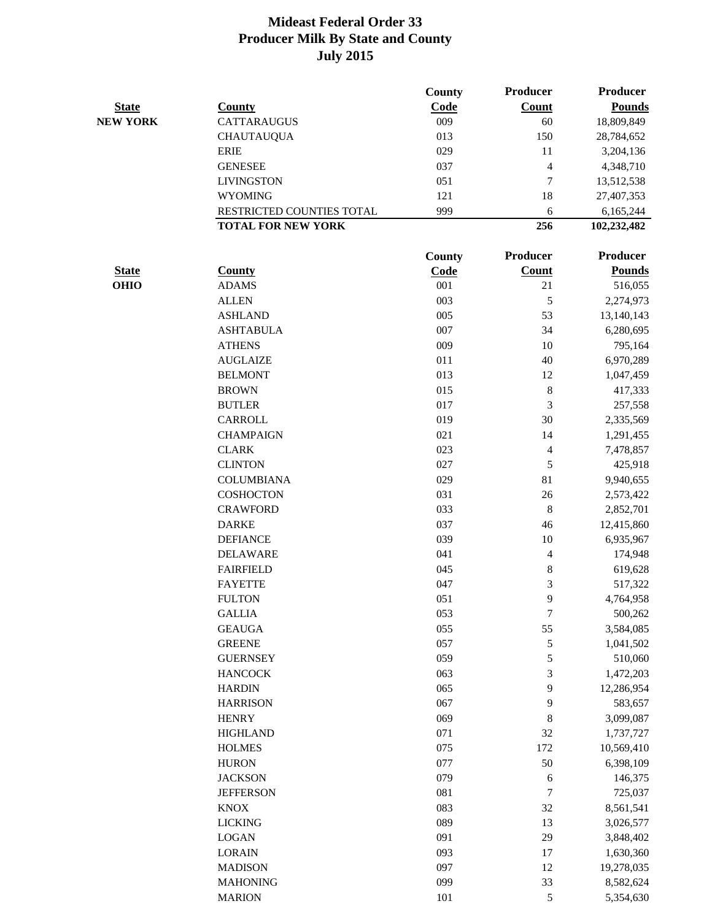|                 |                           | County | <b>Producer</b>          | <b>Producer</b>      |
|-----------------|---------------------------|--------|--------------------------|----------------------|
| <b>State</b>    | <b>County</b>             | Code   | <b>Count</b>             | <b>Pounds</b>        |
| <b>NEW YORK</b> | <b>CATTARAUGUS</b>        | 009    | 60                       | 18,809,849           |
|                 | <b>CHAUTAUQUA</b>         | 013    | 150                      | 28,784,652           |
|                 | <b>ERIE</b>               | 029    | 11                       | 3,204,136            |
|                 | <b>GENESEE</b>            | 037    | $\overline{4}$           | 4,348,710            |
|                 | <b>LIVINGSTON</b>         | 051    | $\boldsymbol{7}$         | 13,512,538           |
|                 | <b>WYOMING</b>            | 121    | 18                       | 27,407,353           |
|                 | RESTRICTED COUNTIES TOTAL | 999    | 6                        | 6,165,244            |
|                 | <b>TOTAL FOR NEW YORK</b> |        | 256                      | 102,232,482          |
|                 |                           | County | Producer                 | <b>Producer</b>      |
| <b>State</b>    | <b>County</b>             | Code   | <b>Count</b>             | <b>Pounds</b>        |
| <b>OHIO</b>     | <b>ADAMS</b>              | 001    | 21                       | 516,055              |
|                 | <b>ALLEN</b>              | 003    | 5                        | 2,274,973            |
|                 | <b>ASHLAND</b>            | 005    | 53                       | 13,140,143           |
|                 | <b>ASHTABULA</b>          | 007    | 34                       | 6,280,695            |
|                 | <b>ATHENS</b>             | 009    | 10                       | 795,164              |
|                 | <b>AUGLAIZE</b>           | 011    | 40                       | 6,970,289            |
|                 | <b>BELMONT</b>            | 013    | 12                       | 1,047,459            |
|                 | <b>BROWN</b>              | 015    | $\,8\,$                  | 417,333              |
|                 | <b>BUTLER</b>             | 017    | 3                        | 257,558              |
|                 | <b>CARROLL</b>            | 019    | 30                       | 2,335,569            |
|                 | <b>CHAMPAIGN</b>          | 021    | 14                       | 1,291,455            |
|                 | <b>CLARK</b>              | 023    | 4                        | 7,478,857            |
|                 | <b>CLINTON</b>            | 027    | 5                        | 425,918              |
|                 | <b>COLUMBIANA</b>         | 029    | 81                       | 9,940,655            |
|                 | <b>COSHOCTON</b>          | 031    | 26                       | 2,573,422            |
|                 | <b>CRAWFORD</b>           | 033    | 8                        | 2,852,701            |
|                 | <b>DARKE</b>              | 037    | 46                       | 12,415,860           |
|                 | <b>DEFIANCE</b>           | 039    | 10                       | 6,935,967            |
|                 | <b>DELAWARE</b>           | 041    | $\overline{\mathcal{L}}$ | 174,948              |
|                 | <b>FAIRFIELD</b>          | 045    | 8                        | 619,628              |
|                 | <b>FAYETTE</b>            | 047    | 3                        |                      |
|                 | <b>FULTON</b>             | 051    | 9                        | 517,322<br>4,764,958 |
|                 |                           |        | $\boldsymbol{7}$         |                      |
|                 | <b>GALLIA</b>             | 053    |                          | 500,262              |
|                 | <b>GEAUGA</b>             | 055    | 55                       | 3,584,085            |
|                 | <b>GREENE</b>             | 057    | 5                        | 1,041,502            |
|                 | <b>GUERNSEY</b>           | 059    | 5                        | 510,060              |
|                 | <b>HANCOCK</b>            | 063    | 3                        | 1,472,203            |
|                 | <b>HARDIN</b>             | 065    | 9                        | 12,286,954           |
|                 | <b>HARRISON</b>           | 067    | 9                        | 583,657              |
|                 | <b>HENRY</b>              | 069    | 8                        | 3,099,087            |
|                 | <b>HIGHLAND</b>           | 071    | 32                       | 1,737,727            |
|                 | <b>HOLMES</b>             | 075    | 172                      | 10,569,410           |
|                 | <b>HURON</b>              | 077    | 50                       | 6,398,109            |
|                 | <b>JACKSON</b>            | 079    | $\sqrt{6}$               | 146,375              |
|                 | <b>JEFFERSON</b>          | 081    | 7                        | 725,037              |
|                 | <b>KNOX</b>               | 083    | 32                       | 8,561,541            |
|                 | <b>LICKING</b>            | 089    | 13                       | 3,026,577            |
|                 | <b>LOGAN</b>              | 091    | 29                       | 3,848,402            |
|                 | <b>LORAIN</b>             | 093    | 17                       | 1,630,360            |
|                 | <b>MADISON</b>            | 097    | 12                       | 19,278,035           |
|                 | <b>MAHONING</b>           | 099    | 33                       | 8,582,624            |
|                 | <b>MARION</b>             | 101    | 5                        | 5,354,630            |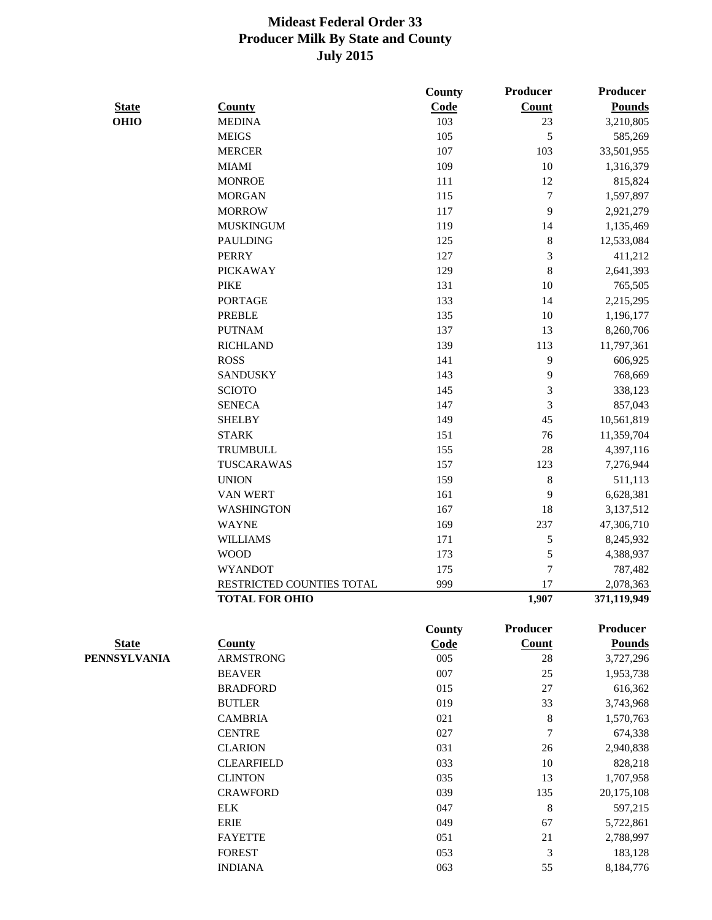|                     |                           | <b>County</b> | Producer         | <b>Producer</b> |
|---------------------|---------------------------|---------------|------------------|-----------------|
| <b>State</b>        | <b>County</b>             | Code          | <b>Count</b>     | <b>Pounds</b>   |
| <b>OHIO</b>         | <b>MEDINA</b>             | 103           | 23               | 3,210,805       |
|                     | <b>MEIGS</b>              | 105           | 5                | 585,269         |
|                     | <b>MERCER</b>             | 107           | 103              | 33,501,955      |
|                     | <b>MIAMI</b>              | 109           | 10               | 1,316,379       |
|                     | <b>MONROE</b>             | 111           | 12               | 815,824         |
|                     | <b>MORGAN</b>             | 115           | $\boldsymbol{7}$ | 1,597,897       |
|                     | <b>MORROW</b>             | 117           | 9                | 2,921,279       |
|                     | <b>MUSKINGUM</b>          | 119           | 14               | 1,135,469       |
|                     | <b>PAULDING</b>           | 125           | 8                | 12,533,084      |
|                     | <b>PERRY</b>              | 127           | 3                | 411,212         |
|                     | <b>PICKAWAY</b>           | 129           | 8                | 2,641,393       |
|                     | <b>PIKE</b>               | 131           | 10               | 765,505         |
|                     | <b>PORTAGE</b>            | 133           | 14               | 2,215,295       |
|                     | <b>PREBLE</b>             | 135           | 10               | 1,196,177       |
|                     | <b>PUTNAM</b>             | 137           | 13               | 8,260,706       |
|                     | <b>RICHLAND</b>           | 139           | 113              | 11,797,361      |
|                     | <b>ROSS</b>               | 141           | 9                | 606,925         |
|                     | <b>SANDUSKY</b>           | 143           | 9                | 768,669         |
|                     | <b>SCIOTO</b>             | 145           | 3                | 338,123         |
|                     | <b>SENECA</b>             | 147           | 3                | 857,043         |
|                     | <b>SHELBY</b>             | 149           | 45               | 10,561,819      |
|                     | <b>STARK</b>              | 151           | 76               | 11,359,704      |
|                     | <b>TRUMBULL</b>           | 155           | 28               | 4,397,116       |
|                     | TUSCARAWAS                | 157           | 123              | 7,276,944       |
|                     | <b>UNION</b>              | 159           | $8\,$            |                 |
|                     | <b>VAN WERT</b>           | 161           | 9                | 511,113         |
|                     | <b>WASHINGTON</b>         | 167           | 18               | 6,628,381       |
|                     |                           |               |                  | 3,137,512       |
|                     | <b>WAYNE</b>              | 169           | 237              | 47,306,710      |
|                     | <b>WILLIAMS</b>           | 171           | 5                | 8,245,932       |
|                     | <b>WOOD</b>               | 173           | 5                | 4,388,937       |
|                     | <b>WYANDOT</b>            | 175           | 7                | 787,482         |
|                     | RESTRICTED COUNTIES TOTAL | 999           | 17               | 2,078,363       |
|                     | <b>TOTAL FOR OHIO</b>     |               | 1,907            | 371,119,949     |
|                     |                           | County        | Producer         | <b>Producer</b> |
| <b>State</b>        | <b>County</b>             | Code          | <b>Count</b>     | <b>Pounds</b>   |
| <b>PENNSYLVANIA</b> | <b>ARMSTRONG</b>          | 005           | 28               | 3,727,296       |
|                     | <b>BEAVER</b>             | 007           | 25               | 1,953,738       |
|                     | <b>BRADFORD</b>           | 015           | 27               | 616,362         |
|                     | <b>BUTLER</b>             | 019           | 33               | 3,743,968       |
|                     | <b>CAMBRIA</b>            | 021           | 8                | 1,570,763       |
|                     | <b>CENTRE</b>             | 027           | 7                | 674,338         |
|                     | <b>CLARION</b>            | 031           | 26               | 2,940,838       |
|                     | <b>CLEARFIELD</b>         | 033           | 10               | 828,218         |
|                     | <b>CLINTON</b>            | 035           | 13               | 1,707,958       |
|                     | <b>CRAWFORD</b>           | 039           | 135              | 20,175,108      |
|                     | <b>ELK</b>                | 047           | 8                | 597,215         |
|                     | <b>ERIE</b>               | 049           | 67               | 5,722,861       |
|                     | <b>FAYETTE</b>            | 051           | 21               | 2,788,997       |
|                     | <b>FOREST</b>             | 053           | 3                | 183,128         |
|                     | <b>INDIANA</b>            | 063           | 55               | 8,184,776       |
|                     |                           |               |                  |                 |